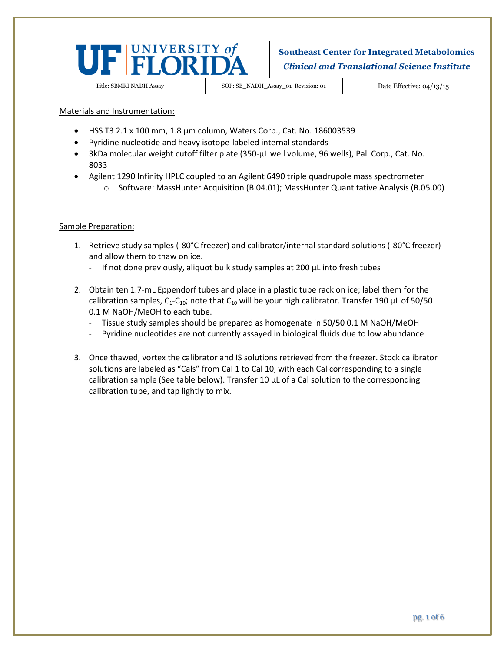

Title: SBMRI NADH Assay SOP: SB\_NADH\_Assay\_01 Revision: 01 Date Effective: 04/13/15

Materials and Instrumentation:

- HSS T3 2.1 x 100 mm, 1.8 µm column, Waters Corp., Cat. No. 186003539
- Pyridine nucleotide and heavy isotope-labeled internal standards
- 3kDa molecular weight cutoff filter plate (350-µL well volume, 96 wells), Pall Corp., Cat. No. 8033
- Agilent 1290 Infinity HPLC coupled to an Agilent 6490 triple quadrupole mass spectrometer
	- o Software: MassHunter Acquisition (B.04.01); MassHunter Quantitative Analysis (B.05.00)

#### Sample Preparation:

- 1. Retrieve study samples (-80°C freezer) and calibrator/internal standard solutions (-80°C freezer) and allow them to thaw on ice.
	- If not done previously, aliquot bulk study samples at 200 μL into fresh tubes
- 2. Obtain ten 1.7-mL Eppendorf tubes and place in a plastic tube rack on ice; label them for the calibration samples,  $C_1-C_{10}$ ; note that  $C_{10}$  will be your high calibrator. Transfer 190 µL of 50/50 0.1 M NaOH/MeOH to each tube.
	- Tissue study samples should be prepared as homogenate in 50/50 0.1 M NaOH/MeOH
	- Pyridine nucleotides are not currently assayed in biological fluids due to low abundance
- 3. Once thawed, vortex the calibrator and IS solutions retrieved from the freezer. Stock calibrator solutions are labeled as "Cals" from Cal 1 to Cal 10, with each Cal corresponding to a single calibration sample (See table below). Transfer 10 μL of a Cal solution to the corresponding calibration tube, and tap lightly to mix.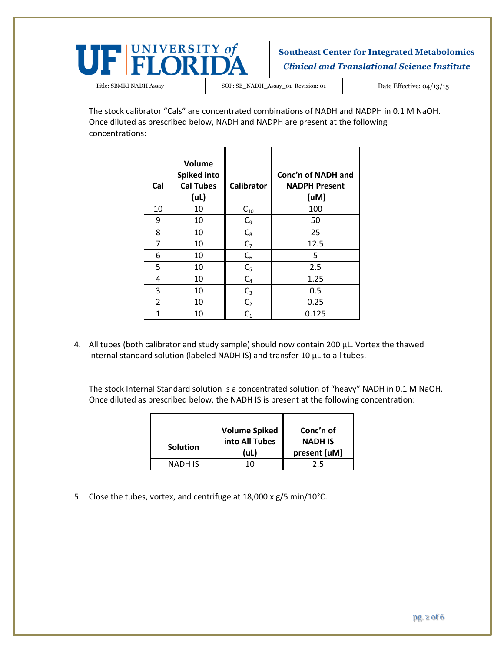

Title: SBMRI NADH Assay SOP: SB\_NADH\_Assay\_01 Revision: 01 Date Effective: 04/13/15

The stock calibrator "Cals" are concentrated combinations of NADH and NADPH in 0.1 M NaOH. Once diluted as prescribed below, NADH and NADPH are present at the following concentrations:

| Cal | Volume<br><b>Spiked into</b><br><b>Cal Tubes</b><br>(UL) | <b>Calibrator</b> | Conc'n of NADH and<br><b>NADPH Present</b><br>(uM) |
|-----|----------------------------------------------------------|-------------------|----------------------------------------------------|
| 10  | 10                                                       | $C_{10}$          | 100                                                |
| 9   | 10                                                       | $C_9$             | 50                                                 |
| 8   | 10                                                       | $C_8$             | 25                                                 |
| 7   | 10                                                       | $C_7$             | 12.5                                               |
| 6   | 10                                                       | $C_6$             | 5                                                  |
| 5   | 10                                                       | C <sub>5</sub>    | 2.5                                                |
| 4   | 10                                                       | $C_4$             | 1.25                                               |
| 3   | 10                                                       | $C_3$             | 0.5                                                |
| 2   | 10                                                       | C <sub>2</sub>    | 0.25                                               |
| 1   | 10                                                       | $\mathsf{C}_1$    | 0.125                                              |

4. All tubes (both calibrator and study sample) should now contain 200 μL. Vortex the thawed internal standard solution (labeled NADH IS) and transfer 10 μL to all tubes.

The stock Internal Standard solution is a concentrated solution of "heavy" NADH in 0.1 M NaOH. Once diluted as prescribed below, the NADH IS is present at the following concentration:

| <b>Solution</b> | Volume Spiked<br>into All Tubes<br>(uL) | Conc'n of<br><b>NADH IS</b><br>present (uM) |
|-----------------|-----------------------------------------|---------------------------------------------|
| NADH IS         | 10                                      | 2.5                                         |

5. Close the tubes, vortex, and centrifuge at 18,000 x g/5 min/10°C.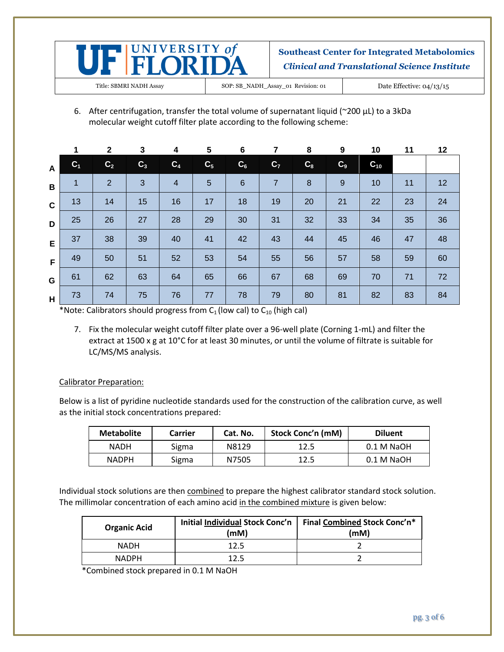

Title: SBMRI NADH Assay SOP: SB\_NADH\_Assay\_01 Revision: 01 Date Effective: 04/13/15

6. After centrifugation, transfer the total volume of supernatant liquid (~200  $\mu$ L) to a 3kDa molecular weight cutoff filter plate according to the following scheme:

|              |                | $\mathbf{2}$   | 3     | 4              | 5              | $6\phantom{1}6$ | 7              | 8                | 9              | 10       | 11 | 12 |
|--------------|----------------|----------------|-------|----------------|----------------|-----------------|----------------|------------------|----------------|----------|----|----|
| $\mathbf{A}$ | C <sub>1</sub> | C <sub>2</sub> | $C_3$ | C <sub>4</sub> | C <sub>5</sub> | $C_6$           | C <sub>7</sub> | $C_8$            | C <sub>9</sub> | $C_{10}$ |    |    |
| B            | 1              | 2              | 3     | $\overline{4}$ | 5              | $6\phantom{1}6$ | $\overline{7}$ | $\boldsymbol{8}$ | 9              | 10       | 11 | 12 |
| $\mathbf c$  | 13             | 14             | 15    | 16             | 17             | 18              | 19             | 20               | 21             | 22       | 23 | 24 |
| D            | 25             | 26             | 27    | 28             | 29             | 30              | 31             | 32               | 33             | 34       | 35 | 36 |
| E            | 37             | 38             | 39    | 40             | 41             | 42              | 43             | 44               | 45             | 46       | 47 | 48 |
| F            | 49             | 50             | 51    | 52             | 53             | 54              | 55             | 56               | 57             | 58       | 59 | 60 |
| G            | 61             | 62             | 63    | 64             | 65             | 66              | 67             | 68               | 69             | 70       | 71 | 72 |
| H            | 73             | 74             | 75    | 76             | 77             | 78              | 79             | 80               | 81             | 82       | 83 | 84 |

\*Note: Calibrators should progress from  $C_1$  (low cal) to  $C_{10}$  (high cal)

7. Fix the molecular weight cutoff filter plate over a 96-well plate (Corning 1-mL) and filter the extract at 1500 x g at 10°C for at least 30 minutes, or until the volume of filtrate is suitable for LC/MS/MS analysis.

### Calibrator Preparation:

Below is a list of pyridine nucleotide standards used for the construction of the calibration curve, as well as the initial stock concentrations prepared:

| <b>Metabolite</b> | Carrier | Cat. No. | <b>Stock Conc'n (mM)</b> | <b>Diluent</b> |
|-------------------|---------|----------|--------------------------|----------------|
| <b>NADH</b>       | Sigma   | N8129    | 12.5                     | 0.1 M NaOH     |
| <b>NADPH</b>      | Sigma   | N7505    | 12.5                     | $0.1$ M NaOH   |

Individual stock solutions are then combined to prepare the highest calibrator standard stock solution. The millimolar concentration of each amino acid in the combined mixture is given below:

| <b>Organic Acid</b> | (mM) | Initial Individual Stock Conc'n   Final Combined Stock Conc'n*<br>(mM) |
|---------------------|------|------------------------------------------------------------------------|
| <b>NADH</b>         | 12.5 |                                                                        |
| <b>NADPH</b>        | 17 5 |                                                                        |

\*Combined stock prepared in 0.1 M NaOH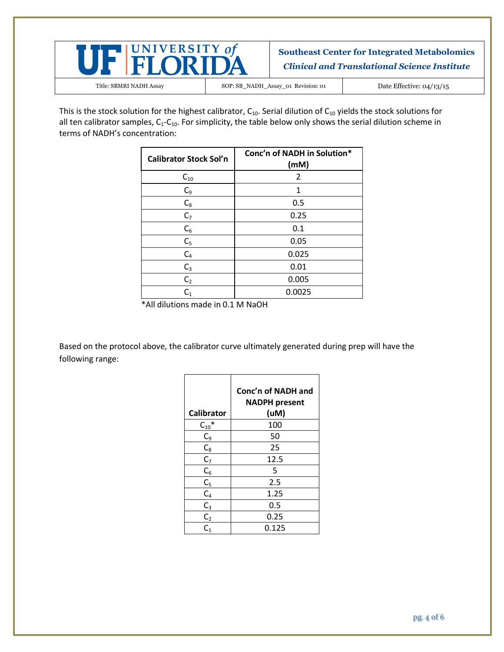

Title: SBMRI NADH Assay SOP: SB\_NADH\_Assay\_01 Revision: 01 Date Effective: 04/13/15

This is the stock solution for the highest calibrator,  $C_{10}$ . Serial dilution of  $C_{10}$  yields the stock solutions for all ten calibrator samples,  $C_1$ - $C_1$ <sup>o</sup>. For simplicity, the table below only shows the serial dilution scheme in terms of NADH's concentration:

| <b>Calibrator Stock Sol'n</b> | Conc'n of NADH in Solution*<br>(mM) |
|-------------------------------|-------------------------------------|
| $C_{10}$                      | 2                                   |
| $C_9$                         | 1                                   |
| $C_8$                         | 0.5                                 |
| $C_7$                         | 0.25                                |
| $C_6$                         | 0.1                                 |
| C <sub>5</sub>                | 0.05                                |
| $C_4$                         | 0.025                               |
| $C_3$                         | 0.01                                |
| C <sub>2</sub>                | 0.005                               |
| C <sub>1</sub>                | 0.0025                              |

\*All dilutions made in 0.1 M NaOH

Based on the protocol above, the calibrator curve ultimately generated during prep will have the following range:

| <b>Calibrator</b> | Conc'n of NADH and<br><b>NADPH present</b><br>(uM) |
|-------------------|----------------------------------------------------|
| $C_{10}$ *        | 100                                                |
| $C_9$             | 50                                                 |
| $\mathsf{C}_8$    | 25                                                 |
| C <sub>7</sub>    | 12.5                                               |
| $C_6$             | 5                                                  |
| $C_5$             | 2.5                                                |
| $C_4$             | 1.25                                               |
| $C_3$             | 0.5                                                |
| C <sub>2</sub>    | 0.25                                               |
| $\mathsf{C}_1$    | 0.125                                              |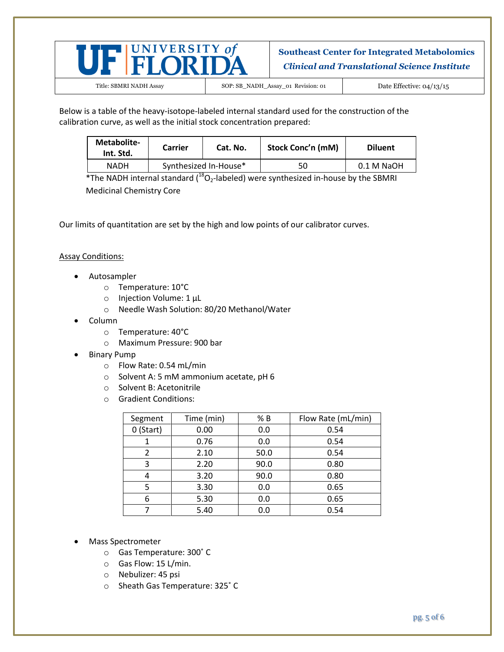

Title: SBMRI NADH Assay SOP: SB\_NADH\_Assay\_01 Revision: 01 Date Effective: 04/13/15

Below is a table of the heavy-isotope-labeled internal standard used for the construction of the calibration curve, as well as the initial stock concentration prepared:

| Metabolite-<br>Int. Std. | Carrier | Cat. No.              | Stock Conc'n (mM) | <b>Diluent</b> |
|--------------------------|---------|-----------------------|-------------------|----------------|
| <b>NADH</b>              |         | Synthesized In-House* | 50                | $0.1$ M NaOH   |

\*The NADH internal standard  $(^{18}O_2$ -labeled) were synthesized in-house by the SBMRI Medicinal Chemistry Core

Our limits of quantitation are set by the high and low points of our calibrator curves.

#### Assay Conditions:

- Autosampler
	- o Temperature: 10°C
	- o Injection Volume: 1 μL
	- o Needle Wash Solution: 80/20 Methanol/Water
- Column
	- o Temperature: 40°C
	- o Maximum Pressure: 900 bar
- Binary Pump
	- o Flow Rate: 0.54 mL/min
	- o Solvent A: 5 mM ammonium acetate, pH 6
	- o Solvent B: Acetonitrile
	- o Gradient Conditions:

| Segment     | Time (min) | % B  | Flow Rate (mL/min) |
|-------------|------------|------|--------------------|
| $0$ (Start) | 0.00       | 0.0  | 0.54               |
|             | 0.76       | 0.0  | 0.54               |
| 2           | 2.10       | 50.0 | 0.54               |
| 3           | 2.20       | 90.0 | 0.80               |
|             | 3.20       | 90.0 | 0.80               |
| 5           | 3.30       | 0.0  | 0.65               |
| 6           | 5.30       | 0.0  | 0.65               |
|             | 5.40       | 0.0  | 0.54               |

- Mass Spectrometer
	- o Gas Temperature: 300˚ C
	- o Gas Flow: 15 L/min.
	- o Nebulizer: 45 psi
	- o Sheath Gas Temperature: 325˚ C